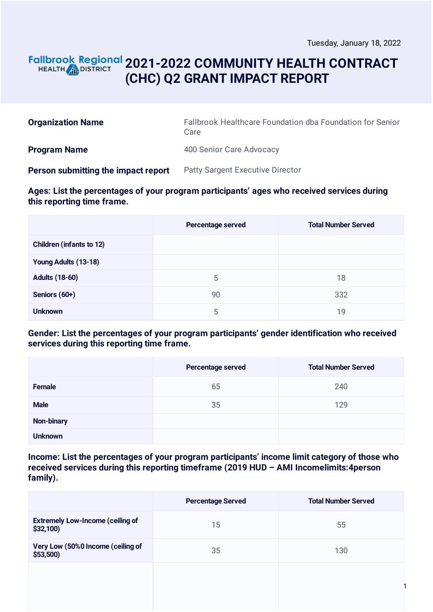## **2021-2022 COMMUNITY HEALTH CONTRACT** HEALTH **AND DISTRICT (CHC) Q2 GRANT IMPACT REPORT**

| <b>Organization Name</b>            | Fallbrook Healthcare Foundation dba Foundation for Senior<br>Care |
|-------------------------------------|-------------------------------------------------------------------|
| <b>Program Name</b>                 | 400 Senior Care Advocacy                                          |
| Person submitting the impact report | <b>Patty Sargent Executive Director</b>                           |

#### **Ages: List the percentages of your program participants' ages who received services during this reporting time frame.**

|                                 | Percentage served | <b>Total Number Served</b> |
|---------------------------------|-------------------|----------------------------|
| <b>Children (infants to 12)</b> |                   |                            |
| Young Adults (13-18)            |                   |                            |
| <b>Adults (18-60)</b>           | 5                 | 18                         |
| Seniors (60+)                   | 90                | 332                        |
| <b>Unknown</b>                  | 5                 | 19                         |

#### **Gender: List the percentages of your program participants' gender identification who received services during this reporting time frame.**

|                   | Percentage served | <b>Total Number Served</b> |
|-------------------|-------------------|----------------------------|
| <b>Female</b>     | 65                | 240                        |
| <b>Male</b>       | 35                | 129                        |
| <b>Non-binary</b> |                   |                            |
| <b>Unknown</b>    |                   |                            |

**Income: List the percentages of your program participants' income limit category of those who received services during this reporting timeframe (2019 HUD – AMI Incomelimits:4person family).**

|                                                     | <b>Percentage Served</b> | <b>Total Number Served</b> |
|-----------------------------------------------------|--------------------------|----------------------------|
| <b>Extremely Low-Income (ceiling of</b><br>\$32,100 | 15                       | 55                         |
| Very Low (50%0 Income (ceiling of<br>$$53,500$ )    | 35                       | 130                        |
|                                                     |                          |                            |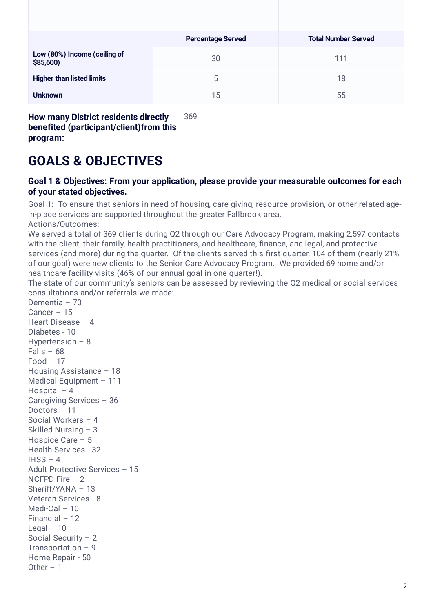| <b>Percentage Served</b> | <b>Total Number Served</b> |
|--------------------------|----------------------------|
| 30                       | 111                        |
| 5                        | 18                         |
| 15                       | 55                         |
|                          |                            |

**How many District residents directly benefited (participant/client)from this program:** 369

## **GOALS & OBJECTIVES**

#### **Goal 1 & Objectives: From your application, please provide your measurable outcomes for each of your stated objectives.**

Goal 1: To ensure that seniors in need of housing, care giving, resource provision, or other related agein-place services are supported throughout the greater Fallbrook area.

Actions/Outcomes:

We served a total of 369 clients during Q2 through our Care Advocacy Program, making 2,597 contacts with the client, their family, health practitioners, and healthcare, finance, and legal, and protective services (and more) during the quarter. Of the clients served this first quarter, 104 of them (nearly 21% of our goal) were new clients to the Senior Care Advocacy Program. We provided 69 home and/or healthcare facility visits (46% of our annual goal in one quarter!).

The state of our community's seniors can be assessed by reviewing the Q2 medical or social services consultations and/or referrals we made:

Dementia – 70 Cancer – 15 Heart Disease – 4 Diabetes - 10 Hypertension – 8  $Falls - 68$ Food – 17 Housing Assistance – 18 Medical Equipment – 111 Hospital – 4 Caregiving Services – 36 Doctors – 11 Social Workers – 4 Skilled Nursing – 3 Hospice Care – 5 Health Services - 32  $IHSS - 4$ Adult Protective Services – 15 NCFPD Fire – 2 Sheriff/YANA – 13 Veteran Services - 8 Medi-Cal – 10 Financial – 12 Legal  $-10$ Social Security – 2 Transportation  $-9$ Home Repair - 50 Other  $-1$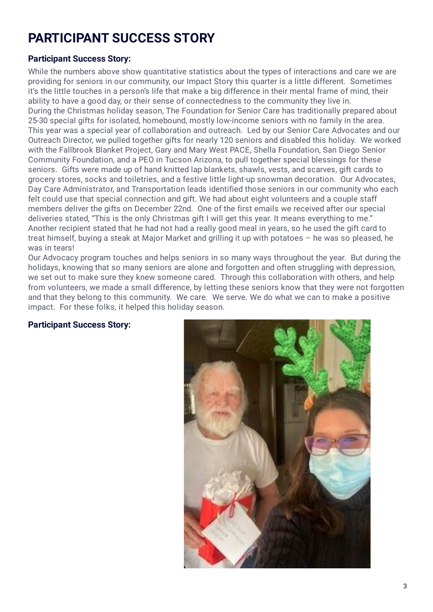# **PARTICIPANT SUCCESS STORY**

### **Participant Success Story:**

While the numbers above show quantitative statistics about the types of interactions and care we are providing for seniors in our community, our Impact Story this quarter is a little different. Sometimes it's the little touches in a person's life that make a big difference in their mental frame of mind, their ability to have a good day, or their sense of connectedness to the community they live in. During the Christmas holiday season, The Foundation for Senior Care has traditionally prepared about 25-30 special gifts for isolated, homebound, mostly low-income seniors with no family in the area. This year was a special year of collaboration and outreach. Led by our Senior Care Advocates and our Outreach Director, we pulled together gifts for nearly 120 seniors and disabled this holiday. We worked with the Fallbrook Blanket Project, Gary and Mary West PACE, Shella Foundation, San Diego Senior Community Foundation, and a PEO in Tucson Arizona, to pull together special blessings for these seniors. Gifts were made up of hand knitted lap blankets, shawls, vests, and scarves, gift cards to grocery stores, socks and toiletries, and a festive little light-up snowman decoration. Our Advocates, Day Care Administrator, and Transportation leads identified those seniors in our community who each felt could use that special connection and gift. We had about eight volunteers and a couple staff members deliver the gifts on December 22nd. One of the first emails we received after our special deliveries stated, "This is the only Christmas gift I will get this year. It means everything to me." Another recipient stated that he had not had a really good meal in years, so he used the gift card to treat himself, buying a steak at Major Market and grilling it up with potatoes – he was so pleased, he was in tears!

Our Advocacy program touches and helps seniors in so many ways throughout the year. But during the holidays, knowing that so many seniors are alone and forgotten and often struggling with depression, we set out to make sure they knew someone cared. Through this collaboration with others, and help from volunteers, we made a small difference, by letting these seniors know that they were not forgotten and that they belong to this community. We care. We serve. We do what we can to make a positive impact. For these folks, it helped this holiday season.

#### **Participant Success Story:**

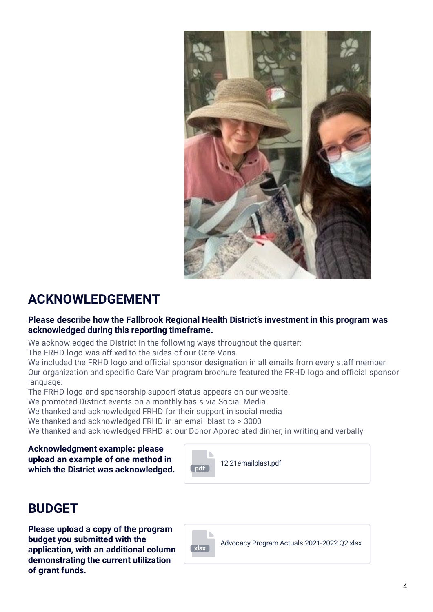

## **ACKNOWLEDGEMENT**

### **Please describe how the Fallbrook Regional Health District's investment in this program was acknowledged during this reporting timeframe.**

We acknowledged the District in the following ways throughout the quarter:

The FRHD logo was affixed to the sides of our Care Vans.

We included the FRHD logo and official sponsor designation in all emails from every staff member. Our organization and specific Care Van program brochure featured the FRHD logo and official sponsor language.

The FRHD logo and sponsorship support status appears on our website.

We promoted District events on a monthly basis via Social Media

We thanked and acknowledged FRHD for their support in social media

We thanked and acknowledged FRHD in an email blast to > 3000

We thanked and acknowledged FRHD at our Donor Appreciated dinner, in writing and verbally

**Acknowledgment example: please upload an example of one method in which the District was acknowledged.** 



## **BUDGET**

**Please upload a copy of the program budget you submitted with the application, with an additional column demonstrating the current utilization of grant funds.**